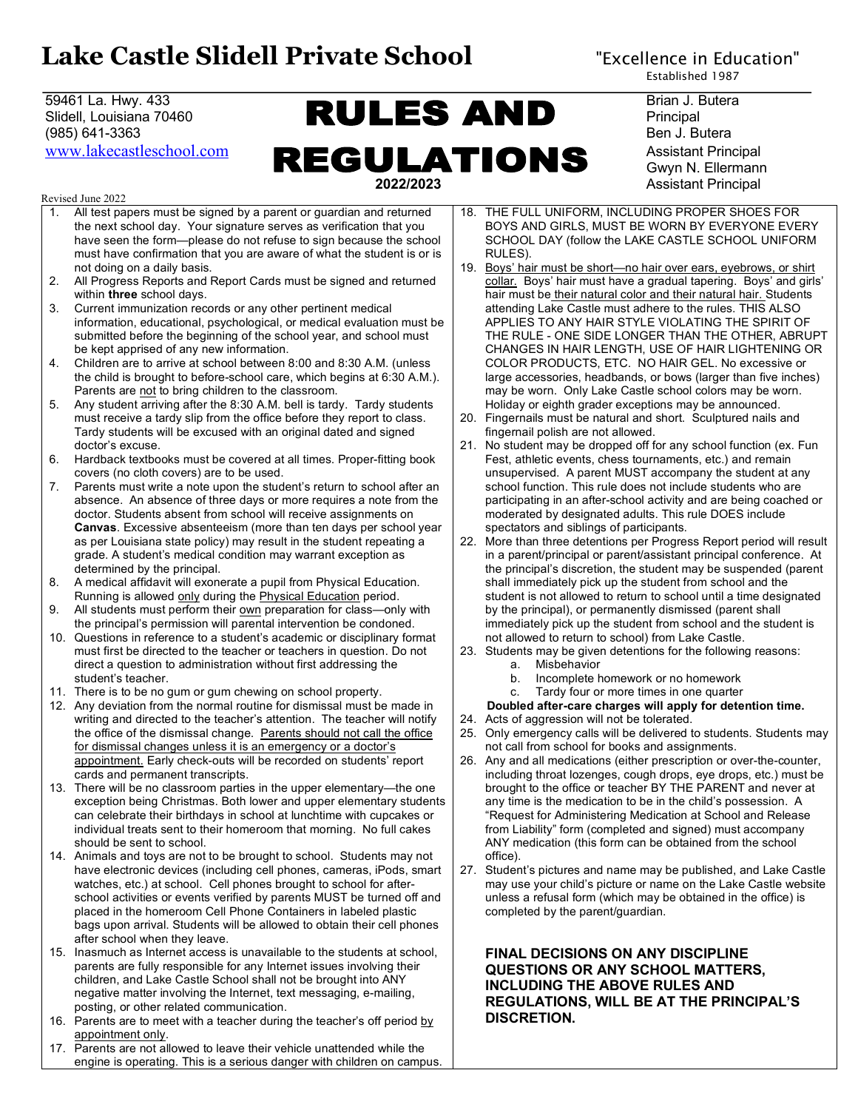# Lake Castle Slidell Private School "Excellence in Education"

## 59461 La. Hwy. 433 **Brian J. Butera Brian J. Butera** Brian J. Butera Slidell, Louisiana 70460 **Principal Principal Principal Principal Principal Principal Principal Principal Principal** (985) 641-3363 Ben J. Butera WWW.lakecastleschool.com **REGULATIONS** Assistant Principal  **2022/2023** Assistant Principal

Revised June 2022

- 1. All test papers must be signed by a parent or guardian and returned the next school day. Your signature serves as verification that you have seen the form—please do not refuse to sign because the school must have confirmation that you are aware of what the student is or is not doing on a daily basis.
- 2. All Progress Reports and Report Cards must be signed and returned within **three** school days.
- 3. Current immunization records or any other pertinent medical information, educational, psychological, or medical evaluation must be submitted before the beginning of the school year, and school must be kept apprised of any new information.
- 4. Children are to arrive at school between 8:00 and 8:30 A.M. (unless the child is brought to before-school care, which begins at 6:30 A.M.). Parents are not to bring children to the classroom.
- 5. Any student arriving after the 8:30 A.M. bell is tardy. Tardy students must receive a tardy slip from the office before they report to class. Tardy students will be excused with an original dated and signed doctor's excuse.
- 6. Hardback textbooks must be covered at all times. Proper-fitting book covers (no cloth covers) are to be used.
- 7. Parents must write a note upon the student's return to school after an absence. An absence of three days or more requires a note from the doctor. Students absent from school will receive assignments on **Canvas**. Excessive absenteeism (more than ten days per school year as per Louisiana state policy) may result in the student repeating a grade. A student's medical condition may warrant exception as determined by the principal.
- 8. A medical affidavit will exonerate a pupil from Physical Education. Running is allowed only during the Physical Education period.
- 9. All students must perform their own preparation for class-only with the principal's permission will parental intervention be condoned.
- 10. Questions in reference to a student's academic or disciplinary format must first be directed to the teacher or teachers in question. Do not direct a question to administration without first addressing the student's teacher.
- 11. There is to be no gum or gum chewing on school property.
- 12. Any deviation from the normal routine for dismissal must be made in writing and directed to the teacher's attention. The teacher will notify the office of the dismissal change. Parents should not call the office for dismissal changes unless it is an emergency or a doctor's appointment. Early check-outs will be recorded on students' report cards and permanent transcripts.
- 13. There will be no classroom parties in the upper elementary—the one exception being Christmas. Both lower and upper elementary students can celebrate their birthdays in school at lunchtime with cupcakes or individual treats sent to their homeroom that morning. No full cakes should be sent to school.
- 14. Animals and toys are not to be brought to school. Students may not have electronic devices (including cell phones, cameras, iPods, smart watches, etc.) at school. Cell phones brought to school for afterschool activities or events verified by parents MUST be turned off and placed in the homeroom Cell Phone Containers in labeled plastic bags upon arrival. Students will be allowed to obtain their cell phones after school when they leave.
- 15. Inasmuch as Internet access is unavailable to the students at school, parents are fully responsible for any Internet issues involving their children, and Lake Castle School shall not be brought into ANY negative matter involving the Internet, text messaging, e-mailing, posting, or other related communication.
- 16. Parents are to meet with a teacher during the teacher's off period by appointment only.
- 17. Parents are not allowed to leave their vehicle unattended while the engine is operating. This is a serious danger with children on campus.

Gwyn N. Ellermann

- 18. THE FULL UNIFORM, INCLUDING PROPER SHOES FOR BOYS AND GIRLS, MUST BE WORN BY EVERYONE EVERY SCHOOL DAY (follow the LAKE CASTLE SCHOOL UNIFORM RULES).
- 19. Boys' hair must be short—no hair over ears, eyebrows, or shirt collar. Boys' hair must have a gradual tapering. Boys' and girls' hair must be their natural color and their natural hair. Students attending Lake Castle must adhere to the rules. THIS ALSO APPLIES TO ANY HAIR STYLE VIOLATING THE SPIRIT OF THE RULE - ONE SIDE LONGER THAN THE OTHER, ABRUPT CHANGES IN HAIR LENGTH, USE OF HAIR LIGHTENING OR COLOR PRODUCTS, ETC. NO HAIR GEL. No excessive or large accessories, headbands, or bows (larger than five inches) may be worn. Only Lake Castle school colors may be worn. Holiday or eighth grader exceptions may be announced.
- 20. Fingernails must be natural and short. Sculptured nails and fingernail polish are not allowed.
- 21. No student may be dropped off for any school function (ex. Fun Fest, athletic events, chess tournaments, etc.) and remain unsupervised. A parent MUST accompany the student at any school function. This rule does not include students who are participating in an after-school activity and are being coached or moderated by designated adults. This rule DOES include spectators and siblings of participants.
- 22. More than three detentions per Progress Report period will result in a parent/principal or parent/assistant principal conference. At the principal's discretion, the student may be suspended (parent shall immediately pick up the student from school and the student is not allowed to return to school until a time designated by the principal), or permanently dismissed (parent shall immediately pick up the student from school and the student is not allowed to return to school) from Lake Castle.
- 23. Students may be given detentions for the following reasons:
	- a. Misbehavior
	- b. Incomplete homework or no homework
	- c. Tardy four or more times in one quarter

#### **Doubled after-care charges will apply for detention time.**

- 24. Acts of aggression will not be tolerated.
- 25. Only emergency calls will be delivered to students. Students may not call from school for books and assignments.
- 26. Any and all medications (either prescription or over-the-counter, including throat lozenges, cough drops, eye drops, etc.) must be brought to the office or teacher BY THE PARENT and never at any time is the medication to be in the child's possession. A "Request for Administering Medication at School and Release from Liability" form (completed and signed) must accompany ANY medication (this form can be obtained from the school office).
- 27. Student's pictures and name may be published, and Lake Castle may use your child's picture or name on the Lake Castle website unless a refusal form (which may be obtained in the office) is completed by the parent/guardian.

### **FINAL DECISIONS ON ANY DISCIPLINE QUESTIONS OR ANY SCHOOL MATTERS, INCLUDING THE ABOVE RULES AND REGULATIONS, WILL BE AT THE PRINCIPAL'S DISCRETION.**